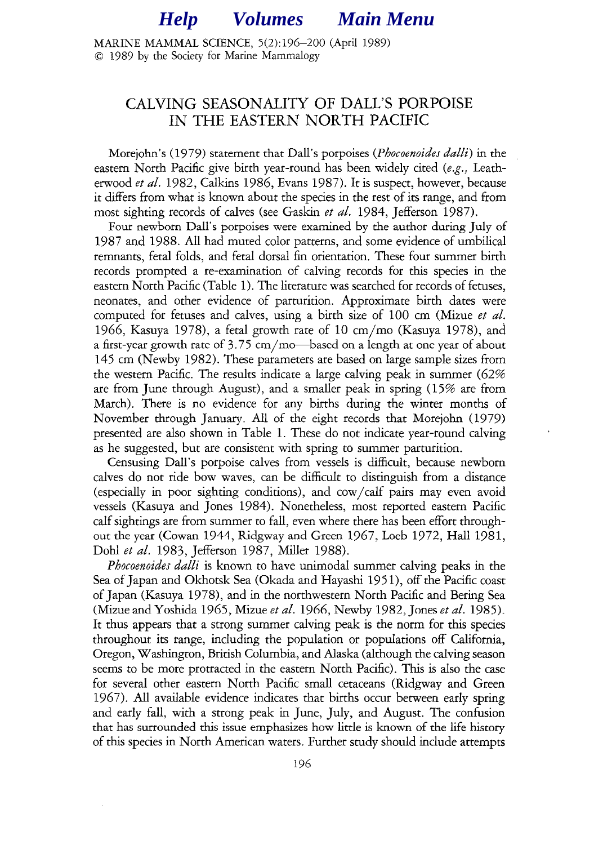## *Help [Volumes](#page-3-0) Main Menu*

<span id="page-0-0"></span>MARINE MAMMAL SCIENCE, 5(2):196-200 (April 1989) 0 1989 by the Society for Marine Mammalogy

### CALVING SEASONALITY OF DALL'S PORPOISE IN THE EASTERN NORTH PACIFIC

Morejohn's (1979) statement that Dall's porpoises (Phocoenoides *dalli)* in the eastern North Pacific give birth year-round has been widely cited (e.g., Leatherwood et al. 1982, Calkins 1986, Evans 1987). It is suspect, however, because it differs from what is known about the species in the rest of its range, and from most sighting records of calves (see Gaskin et al. 1984, Jefferson 1987).

Four newborn Dall's porpoises were examined by the author during July of 1987 and 1988. All had muted color patterns, and some evidence of umbilical remnants, fetal folds, and fetal dorsal fin orientation. These four summer birth records prompted a re-examination of calving records for this species in the eastern North Pacific (Table 1). The literature was searched for records of fetuses, neonates, and other evidence of parturition. Approximate birth dates were computed for fetuses and calves, using a birth size of 100 cm (Mizue et al. 1966, Kasuya 1978), a fetal growth rate of 10 cm/mo (Kasuya 1978), and a first-year growth rate of  $3.75 \text{ cm/mol}$  based on a length at one year of about 145 cm (Newby 1982). These parameters are based on large sample sizes from the western Pacific. The results indicate a large calving peak in summer (62% are from June through August), and a smaller peak in spring (15% are from March). There is no evidence for any births during the winter months of November through January. All of the eight records that Morejohn (1979) presented are also shown in Table 1. These do not indicate year-round calving as he suggested, but are consistent with spring to summer parturition.

Censusing Dali's porpoise calves from vessels is difficult, because newborn calves do not ride bow waves, can be difficult to distinguish from a distance (especially in poor sighting conditions), and cow/calf pairs may even avoid vessels (Kasuya and Jones 1984). Nonetheless, most reported eastern Pacific calf sightings are from summer to fall, even where there has been effort throughout the year (Cowan 1944, Ridgway and Green 1967, Loeb 1972, Hall 1981, Dohl et al. 1983, Jefferson 1987, Miller 1988).

*Phocoenoides dalli* is known to have unimodal summer calving peaks in the Sea of Japan and Okhotsk Sea (Okada and Hayashi 1951), off the Pacific coast of Japan (Kasuya 1978), and in the northwestern North Pacific and Bering Sea (Mizue and Yoshida 1965, Mizue et al. 1966, Newby 1982, Jones et al. 1985). It thus appears that a strong summer calving peak is the norm for this species throughout its range, including the population or populations off California, Oregon, Washington, British Columbia, and Alaska (although the calving season seems to be more protracted in the eastern North Pacific). This is also the case for several other eastern North Pacific small cetaceans (Ridgway and Green 1967). All available evidence indicates that births occur between early spring and early fall, with a strong peak in June, July, and August. The confusion that has surrounded this issue emphasizes how little is known of the life history of this species in North American waters. Further study should include attempts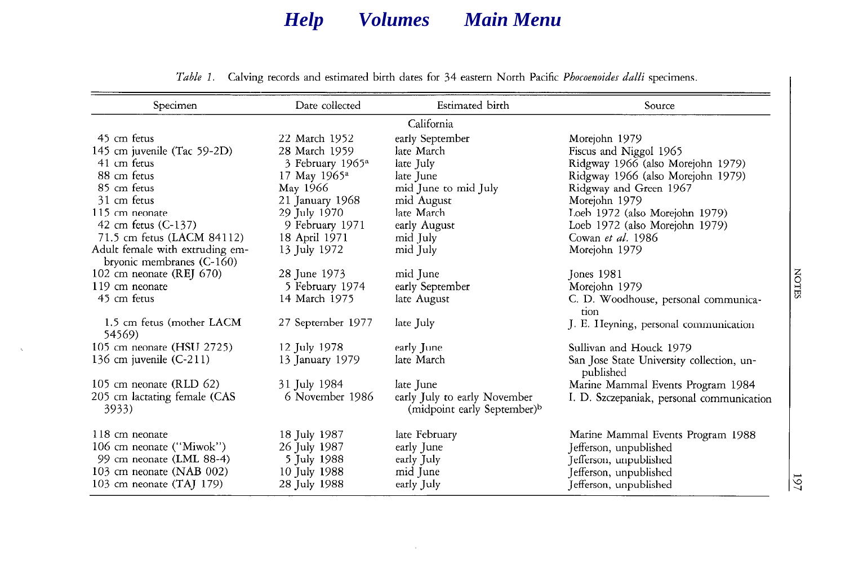# *[Help](#page-0-0) [Volumes](#page-3-0) [Main Menu](#page-0-0)*

| Specimen                              | Date collected               | Estimated birth                                                         | Source                                                 |
|---------------------------------------|------------------------------|-------------------------------------------------------------------------|--------------------------------------------------------|
|                                       |                              | California                                                              |                                                        |
| 45 cm fetus                           | 22 March 1952                | early September                                                         | Morejohn 1979                                          |
| 145 cm juvenile (Tac 59-2D)           | 28 March 1959                | late March                                                              | Fiscus and Niggol 1965                                 |
| 41 cm fetus                           | 3 February 1965 <sup>a</sup> | late July                                                               | Ridgway 1966 (also Morejohn 1979)                      |
| 88 cm fetus                           | 17 May 1965 <sup>a</sup>     | late June                                                               | Ridgway 1966 (also Morejohn 1979)                      |
| 85 cm fetus                           | May 1966                     | mid June to mid July                                                    | Ridgway and Green 1967                                 |
| 31 cm fetus                           | 21 January 1968              | mid August                                                              | Morejohn 1979                                          |
| 115 cm neonate                        | 29 July 1970                 | late March                                                              | Loeb 1972 (also Morejohn 1979)                         |
| 42 cm fetus (C-137)                   | 9 February 1971              | early August                                                            | Loeb 1972 (also Morejohn 1979)                         |
| 71.5 cm fetus (LACM 84112)            | 18 April 1971                | mid July                                                                | Cowan et al. 1986                                      |
| Adult female with extruding em-       | 13 July 1972                 | mid July                                                                | Morejohn 1979                                          |
| bryonic membranes (C-160)             |                              |                                                                         |                                                        |
| 102 cm neonate (REJ 670)              | 28 June 1973                 | mid June                                                                | Jones 1981                                             |
| 119 cm neonate                        | 5 February 1974              | early September                                                         | Morejohn 1979                                          |
| 45 cm fetus                           | 14 March 1975                | late August                                                             | C. D. Woodhouse, personal communica-                   |
|                                       |                              |                                                                         | tion                                                   |
| 1.5 cm fetus (mother LACM<br>54569)   | 27 September 1977            | late July                                                               | J. E. Heyning, personal communication                  |
| 105 cm neonate (HSU 2725)             | 12 July 1978                 | early June                                                              | Sullivan and Houck 1979                                |
| 136 cm juvenile $(C-211)$             | 13 January 1979              | late March                                                              | San Jose State University collection, un-<br>published |
| 105 cm neonate (RLD $62$ )            | 31 July 1984                 | late June                                                               | Marine Mammal Events Program 1984                      |
| 205 cm lactating female (CAS<br>3933) | 6 November 1986              | early July to early November<br>(midpoint early September) <sup>b</sup> | I. D. Szczepaniak, personal communication              |
| 118 cm neonate                        | 18 July 1987                 | late February                                                           | Marine Mammal Events Program 1988                      |
| 106 cm neonate ("Miwok")              | 26 July 1987                 | early June                                                              | Jefferson, unpublished                                 |
| 99 cm neonate (LML 88-4)              | 5 July 1988                  | early July                                                              | Jefferson, unpublished                                 |
| 103 cm neonate (NAB 002)              | 10 July 1988                 | mid June                                                                | Jefferson, unpublished                                 |
| 103 cm neonate $(TA)$ 179)            | 28 July 1988                 | early July                                                              | Jefferson, unpublished                                 |

*Table 1.* Calving records and estimated birth dates for 34 eastern North Pacific Phocoenoides dalli specimens.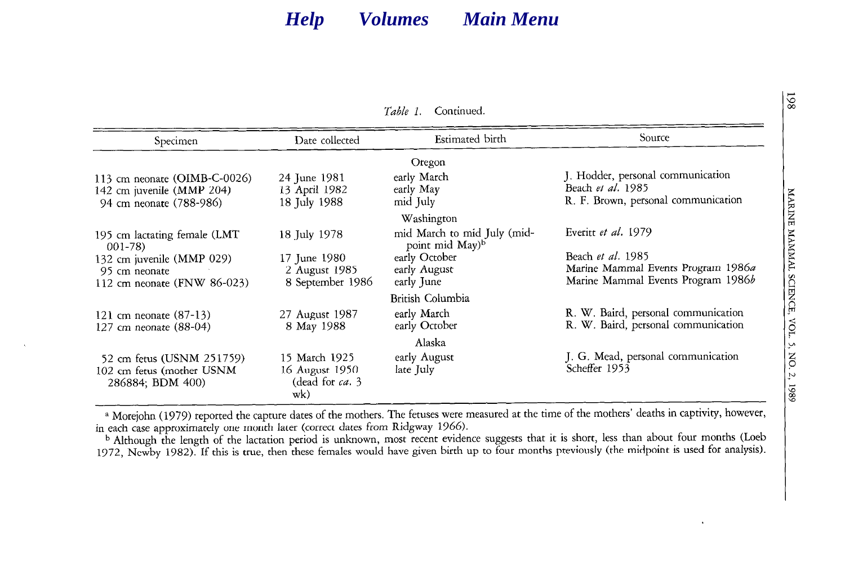### *[Help](#page-0-0) [Volumes](#page-3-0) [Main Menu](#page-0-0)*

|                |  | <i>Lable L.</i> Continued. |
|----------------|--|----------------------------|
| )ate collected |  | Estimated birth            |

*Table 1.* Continued.

| Specimen                                 | Date collected   | Estimated birth                                            | source                              |  |
|------------------------------------------|------------------|------------------------------------------------------------|-------------------------------------|--|
|                                          |                  | Oregon                                                     |                                     |  |
| 113 cm neonate (OIMB-C-0026)             | 24 June 1981     | early March                                                | J. Hodder, personal communication   |  |
| 142 cm juvenile (MMP 204)                | 13 April 1982    | early May                                                  | Beach et al. 1985                   |  |
| 94 cm neonate (788-986)                  | 18 July 1988     | mid July                                                   | R. F. Brown, personal communication |  |
|                                          |                  | Washington                                                 |                                     |  |
| 195 cm lactating female (LMT<br>$001-78$ | 18 July 1978     | mid March to mid July (mid-<br>point mid May) <sup>b</sup> | Everitt et al. 1979                 |  |
| 132 cm juvenile (MMP 029)                | 17 June 1980     | early October                                              | Beach et al. 1985                   |  |
| 95 cm neonate                            | 2 August 1985    | early August                                               | Marine Mammal Events Program 1986a  |  |
| 112 cm neonate (FNW 86-023)              | 8 September 1986 | early June                                                 | Marine Mammal Events Program 1986b  |  |
|                                          |                  | British Columbia                                           |                                     |  |
| 121 cm neonate $(87-13)$                 | 27 August 1987   | early March                                                | R. W. Baird, personal communication |  |
| 127 cm neonate (88-04)                   | 8 May 1988       | early October                                              | R. W. Baird, personal communication |  |
|                                          |                  | Alaska                                                     |                                     |  |
| 52 cm fetus (USNM 251759)                | 15 March 1925    | early August                                               | J. G. Mead, personal communication  |  |
| 102 cm fetus (mother USNM                | 16 August 1950   | late July                                                  | Scheffer 1953                       |  |
| 286884; BDM 400)                         | (dead for ca. 3  |                                                            |                                     |  |
|                                          | wk)              |                                                            |                                     |  |

<sup>a</sup> Morejohn (1979) reported the capture dates of the mothers. The fetuses were measured at the time of the mothers' deaths in captivity, however, in each case approximately one month later (correct dates from Ridgway 1966).

<sup>b</sup> Although the length of the lactation period is unknown, most recent evidence suggests that it is short, less than about four months (Loeb 1972, Newby 1982). If this is true, then these females would have given birth up to four months previously (the midpoint is used for analysis).

198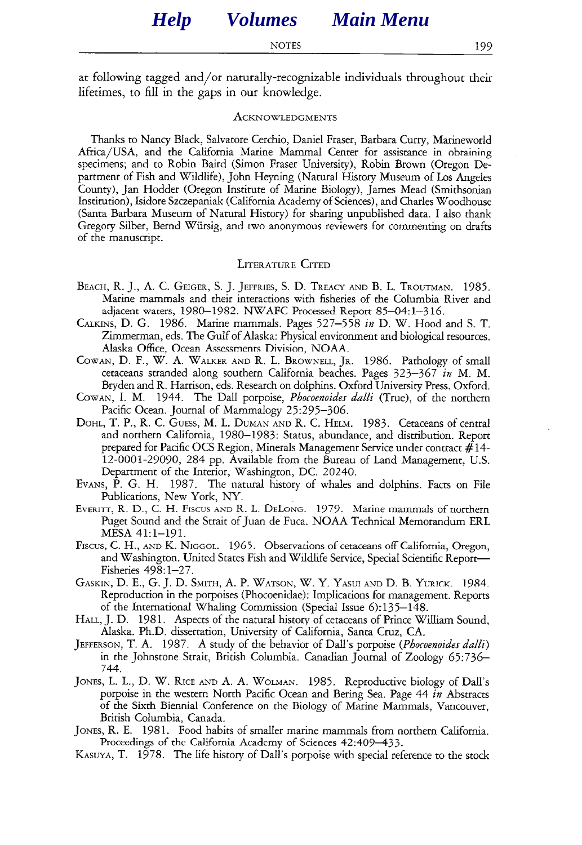<span id="page-3-0"></span>at following tagged and/or naturally-recognizable individuals throughout their lifetimes, to fill in the gaps in our knowledge.

#### **ACKNOWLEDGMENTS**

Thanks to Nancy Black, Salvatore Cerchio, Daniel Fraser, Barbara Curry, Marineworld Africa/USA, and the California Marine Mammal Center for assistance in obtaining specimens; and to Robin Baird (Simon Fraser University), Robin Brown (Oregon Department of Fish and Wildlife), John Heyning (Natural History Museum of Los Angeles County), Jan Hodder (Oregon Institute of Marine Biology), James Mead (Smithsonian Institution), Isidore Szczepaniak (California Academy of Sciences), and Charles Woodhouse (Santa Barbara Museum of Natural History) for sharing unpublished data. I also thank Gregory Silber, Bernd Wiirsig, and two anonymous reviewers for commenting on drafts of the manuscript.

#### **LITERATURE CITED**

- **BEACH,** R. J., A. C. **GEIGER,** S. J. **JEFFRIES,** S. D. **TREACY AND** B. L. **TROUTMAN.** 1985. Marine mammals and their interactions with fisheries of the Columbia River and adjacent waters, 1980-1982. NWAFC Processed Report 85-04: l-3 16.
- **CALKINS,** D. G. 1986. Marine mammals. Pages 527-558 in D. W. Hood and S. T. Zimmerman, eds. The Gulf of Alaska: Physical environment and biological resources. Alaska Office, Ocean Assessments Division, NOAA.
- **COWAN,** D. F., W. A. **WALKER AnD** R. L. **BROWNELL, JR.** 1986. Pathology of small cetaceans stranded along southern California beaches. Pages 323-367 in M. M. Bryden and R. Harrison, eds. Research on dolphins. Oxford University Press, Oxford.
- **COWAN,** I. M. 1944. The Dal1 porpoise, *Phocoenoides dalli* (True), of the northern Pacific Ocean. Journal of Mammalogy 25:295-306.
- **DOHL,** T. P., R. C. **GUESS,** M. L. **DUMAN AND** R. C. **HELM.** 1983. Cetaceans of central and northern California, 1980-1983: Status, abundance, and distribution. Report prepared for Pacific OCS Region, Minerals Management Service under contract #14- 12-0001-29090, 284 pp. Available from the Bureau of Land Management, U.S. Department of the Interior, Washington, DC. 20240.
- **EVANS,** P. G. H. 1987. The natural history of whales and dolphins. Facts on File Publications, New York, NY.
- **EVERITT,** R. D., C. H. FISCUS **AND** R. L. DELONG. 1979. Marine mammals of northern Puget Sound and the Strait of Juan de Fuca. NOAA Technical Memorandum ERL MESA 41:1-191.
- Fiscus, C. H., **AND** K. **NIGGOL.** 1965. Observations of cetaceans off California, Oregon, and Washington. United States Fish and Wildlife Service, Special Scientific Report-Fisheries 498: l-27.
- **GASKIN,** D. E., G. J. D. **SMITH,** A. P. **WATSON,** W. Y. **YASUI AND** D. B. **YURICK.** 1984. Reproduction in the porpoises (Phocoenidae): Implications for management. Reports of the International Whaling Commission (Special Issue 6):135-148.
- **HALL,** J. D. 1981. Aspects of the natural history of cetaceans of Prince William Sound, Alaska. Ph.D. dissertation, University of California, Santa Cruz, CA.
- **JEFFERSON,** T. A. 1987. A study of the behavior of Dali's porpoise *(Phocoenoides dalli)*  in the Johnstone Strait, British Columbia. Canadian Journal of Zoology 65:736- *744.*
- **JONES,** L. L., D. W. **RICE AND** A. A. **WOLMAN.** 1985. Reproductive biology of Dali's porpoise in the western North Pacific Ocean and Bering Sea. Page 44 *in* Abstracts of the Sixth Biennial Conference on the Biology of Marine Mammals, Vancouver, British Columbia, Canada.
- **JONES,** R. E. 1981. Food habits of smaller marine mammals from northern California. Proceedings of the California Academy of Sciences 42:409-433.
- **KaSUYA,** T. 1978. The life history of Dall's porpoise with special reference to the stock